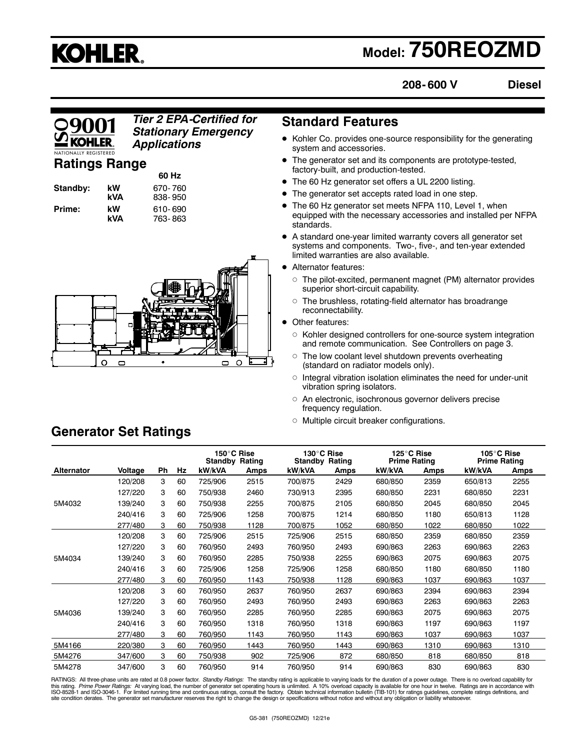# **KOHLER.**

## **Model: 750REOZMD**

**208- 600 V**

**Diesel**

### *Tier 2 EPA-Certified for* **Standard Features** *Stationary Emergency Applications*

### **Ratings Range**

| Standby: | k٧<br>k١ |
|----------|----------|
| Prime:   | k٧       |

**60 Hz y 670- 760**<br>Palos 838- 950 **kVA** 838- 950 **kW** 610-690<br>**kVA** 763-863 **kVA** 763- 863



- Kohler Co. provides one-source responsibility for the generating system and accessories.
- The generator set and its components are prototype-tested, factory-built, and production-tested.
- The 60 Hz generator set offers a UL 2200 listing.
- The generator set accepts rated load in one step.
- The 60 Hz generator set meets NFPA 110, Level 1, when equipped with the necessary accessories and installed per NFPA standards.
- A standard one-year limited warranty covers all generator set systems and components. Two-, five-, and ten-year extended limited warranties are also available.
- Alternator features:
	- $\circ$  The pilot-excited, permanent magnet (PM) alternator provides superior short-circuit capability.
	- $\circ~$  The brushless, rotating-field alternator has broadrange reconnectability.
- Other features:
	- Kohler designed controllers for one-source system integration and remote communication. See Controllers on page 3.
	- $\circ~$  The low coolant level shutdown prevents overheating (standard on radiator models only).
	- $\circ$  Integral vibration isolation eliminates the need for under-unit vibration spring isolators.
	- $\circ$  An electronic, isochronous governor delivers precise frequency regulation.
	- Multiple circuit breaker configurations.

|            |         |    |    | 150°C Rise<br><b>Standby Rating</b> |      | 130°C Rise<br><b>Standby Rating</b> |      | 125°C Rise<br><b>Prime Rating</b> |      | 105°C Rise<br><b>Prime Rating</b> |      |
|------------|---------|----|----|-------------------------------------|------|-------------------------------------|------|-----------------------------------|------|-----------------------------------|------|
| Alternator | Voltage | Ph | Hz | kW/kVA                              | Amps | kW/kVA                              | Amps | kW/kVA                            | Amps | kW/kVA                            | Amps |
|            | 120/208 | 3  | 60 | 725/906                             | 2515 | 700/875                             | 2429 | 680/850                           | 2359 | 650/813                           | 2255 |
|            | 127/220 | 3  | 60 | 750/938                             | 2460 | 730/913                             | 2395 | 680/850                           | 2231 | 680/850                           | 2231 |
| 5M4032     | 139/240 | 3  | 60 | 750/938                             | 2255 | 700/875                             | 2105 | 680/850                           | 2045 | 680/850                           | 2045 |
|            | 240/416 | 3  | 60 | 725/906                             | 1258 | 700/875                             | 1214 | 680/850                           | 1180 | 650/813                           | 1128 |
|            | 277/480 | 3  | 60 | 750/938                             | 1128 | 700/875                             | 1052 | 680/850                           | 1022 | 680/850                           | 1022 |
|            | 120/208 | 3  | 60 | 725/906                             | 2515 | 725/906                             | 2515 | 680/850                           | 2359 | 680/850                           | 2359 |
|            | 127/220 | 3  | 60 | 760/950                             | 2493 | 760/950                             | 2493 | 690/863                           | 2263 | 690/863                           | 2263 |
| 5M4034     | 139/240 | 3  | 60 | 760/950                             | 2285 | 750/938                             | 2255 | 690/863                           | 2075 | 690/863                           | 2075 |
|            | 240/416 | 3  | 60 | 725/906                             | 1258 | 725/906                             | 1258 | 680/850                           | 1180 | 680/850                           | 1180 |
|            | 277/480 | 3  | 60 | 760/950                             | 1143 | 750/938                             | 1128 | 690/863                           | 1037 | 690/863                           | 1037 |
|            | 120/208 | 3  | 60 | 760/950                             | 2637 | 760/950                             | 2637 | 690/863                           | 2394 | 690/863                           | 2394 |
|            | 127/220 | 3  | 60 | 760/950                             | 2493 | 760/950                             | 2493 | 690/863                           | 2263 | 690/863                           | 2263 |
| 5M4036     | 139/240 | 3  | 60 | 760/950                             | 2285 | 760/950                             | 2285 | 690/863                           | 2075 | 690/863                           | 2075 |
|            | 240/416 | 3  | 60 | 760/950                             | 1318 | 760/950                             | 1318 | 690/863                           | 1197 | 690/863                           | 1197 |
|            | 277/480 | 3  | 60 | 760/950                             | 1143 | 760/950                             | 1143 | 690/863                           | 1037 | 690/863                           | 1037 |
| 5M4166     | 220/380 | 3  | 60 | 760/950                             | 1443 | 760/950                             | 1443 | 690/863                           | 1310 | 690/863                           | 1310 |
| 5M4276     | 347/600 | 3  | 60 | 750/938                             | 902  | 725/906                             | 872  | 680/850                           | 818  | 680/850                           | 818  |
| 5M4278     | 347/600 | 3  | 60 | 760/950                             | 914  | 760/950                             | 914  | 690/863                           | 830  | 690/863                           | 830  |

RATINGS: All three-phase units are rated at 0.8 power factor. Standby Ratings: The standby rating is applicable to varying loads for the duration of a power outage. There is no overload capability for this rating. *Prime Power Ratings*: At varying load, the number of generator set operating hours is unlimited. A 10% overload capacity is available for one hour in twelve. Ratings are in accordance with<br>ISO-8528-1 and ISO-

### **Generator Set Ratings**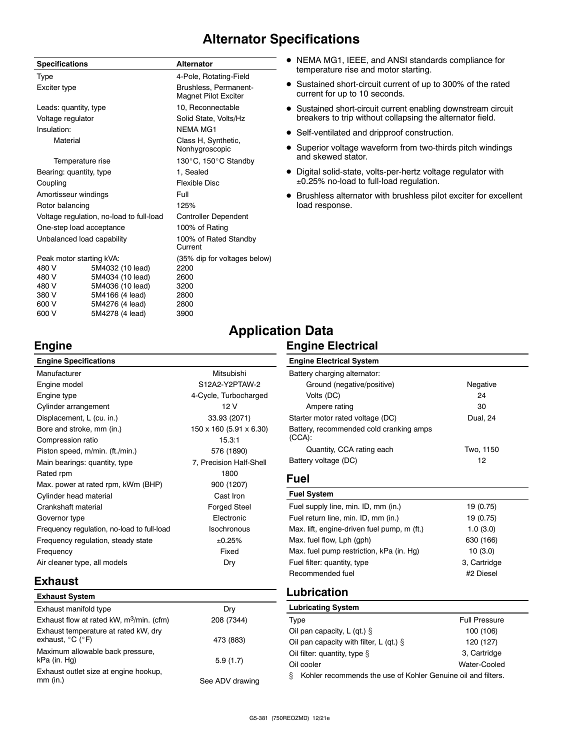## **Alternator Specifications**

| <b>Specifications</b>                    |                  | <b>Alternator</b>                                    |
|------------------------------------------|------------------|------------------------------------------------------|
| <b>Type</b>                              |                  | 4-Pole, Rotating-Field                               |
| Exciter type                             |                  | Brushless, Permanent-<br><b>Magnet Pilot Exciter</b> |
| Leads: quantity, type                    |                  | 10, Reconnectable                                    |
| Voltage regulator                        |                  | Solid State, Volts/Hz                                |
| Insulation:                              |                  | <b>NFMA MG1</b>                                      |
| Material                                 |                  | Class H, Synthetic,<br>Nonhygroscopic                |
|                                          | Temperature rise | 130°C, 150°C Standby                                 |
| Bearing: quantity, type                  |                  | 1, Sealed                                            |
| Coupling                                 |                  | Flexible Disc                                        |
| Amortisseur windings                     |                  | Full                                                 |
| Rotor balancing                          |                  | 125%                                                 |
| Voltage regulation, no-load to full-load |                  | <b>Controller Dependent</b>                          |
| One-step load acceptance                 |                  | 100% of Rating                                       |
| Unbalanced load capability               |                  | 100% of Rated Standby<br>Current                     |
| Peak motor starting kVA:                 |                  | (35% dip for voltages below)                         |
| 480 V                                    | 5M4032 (10 lead) | 2200                                                 |
| 480 V                                    | 5M4034 (10 lead) | 2600                                                 |
| 480 V                                    | 5M4036 (10 lead) | 3200                                                 |
| 380 V                                    | 5M4166 (4 lead)  | 2800                                                 |

5M4166 (4 lead) 600 V 5M4276 (4 lead) 2800 600 V 5M4278 (4 lead) 3900

- NEMA MG1, IEEE, and ANSI standards compliance for temperature rise and motor starting.
- Sustained short-circuit current of up to 300% of the rated current for up to 10 seconds.
- Sustained short-circuit current enabling downstream circuit breakers to trip without collapsing the alternator field.
- Self-ventilated and dripproof construction.
- Superior voltage waveform from two-thirds pitch windings and skewed stator.
- Digital solid-state, volts-per-hertz voltage regulator with ±0.25% no-load to full-load regulation.
- Brushless alternator with brushless pilot exciter for excellent load response.

# **Application Data**

### **Engine Electrical**

| <b>ain</b><br>ாட |
|------------------|
|                  |

| <b>Engine Specifications</b>               |                         |
|--------------------------------------------|-------------------------|
| Manufacturer                               | Mitsubishi              |
| Engine model                               | S12A2-Y2PTAW-2          |
| Engine type                                | 4-Cycle, Turbocharged   |
| Cylinder arrangement                       | 12 V                    |
| Displacement, L (cu. in.)                  | 33.93 (2071)            |
| Bore and stroke, mm (in.)                  | 150 x 160 (5.91 x 6.30) |
| Compression ratio                          | 15.3:1                  |
| Piston speed, m/min. (ft./min.)            | 576 (1890)              |
| Main bearings: quantity, type              | 7, Precision Half-Shell |
| Rated rpm                                  | 1800                    |
| Max. power at rated rpm, kWm (BHP)         | 900 (1207)              |
| Cylinder head material                     | Cast Iron               |
| Crankshaft material                        | <b>Forged Steel</b>     |
| Governor type                              | Electronic              |
| Frequency regulation, no-load to full-load | Isochronous             |
| Frequency regulation, steady state         | ±0.25%                  |
| Frequency                                  | Fixed                   |
| Air cleaner type, all models               | Dry                     |
|                                            |                         |

### **Engine Electrical System** Battery charging alternator: Ground (negative/positive) Negative Volts (DC) 24 Ampere rating 30 Starter motor rated voltage (DC) Dual, 24 Battery, recommended cold cranking amps (CCA): Quantity, CCA rating each Two, 1150 Battery voltage (DC) 12

### **Fuel**

| <b>Fuel System</b>                          |              |
|---------------------------------------------|--------------|
| Fuel supply line, min. ID, mm (in.)         | 19 (0.75)    |
| Fuel return line, min. ID, mm (in.)         | 19 (0.75)    |
| Max. lift, engine-driven fuel pump, m (ft.) | 1.0(3.0)     |
| Max. fuel flow, Lph (gph)                   | 630 (166)    |
| Max. fuel pump restriction, kPa (in. Hq)    | 10(3.0)      |
| Fuel filter: quantity, type                 | 3, Cartridge |
| Recommended fuel                            | #2 Diesel    |
|                                             |              |

### **Exhaust**

| <b>Exhaust System</b>                                                         |                 |
|-------------------------------------------------------------------------------|-----------------|
| Exhaust manifold type                                                         | Dry             |
| Exhaust flow at rated kW, $m^3$ /min. (cfm)                                   | 208 (7344)      |
| Exhaust temperature at rated kW, dry<br>exhaust, $^{\circ}$ C ( $^{\circ}$ F) | 473 (883)       |
| Maximum allowable back pressure,<br>kPa (in. Hg)                              | 5.9(1.7)        |
| Exhaust outlet size at engine hookup,<br>$mm$ (in.)                           | See ADV drawing |

### **Lubrication**

| <b>Lubricating System</b>                                         |                      |  |
|-------------------------------------------------------------------|----------------------|--|
| Type                                                              | <b>Full Pressure</b> |  |
| Oil pan capacity, L (qt.) $\S$                                    | 100 (106)            |  |
| Oil pan capacity with filter, L (gt.) $\S$                        | 120 (127)            |  |
| Oil filter: quantity, type §                                      | 3, Cartridge         |  |
| Oil cooler                                                        | Water-Cooled         |  |
| ş<br>Kohler recommends the use of Kohler Genuine oil and filters. |                      |  |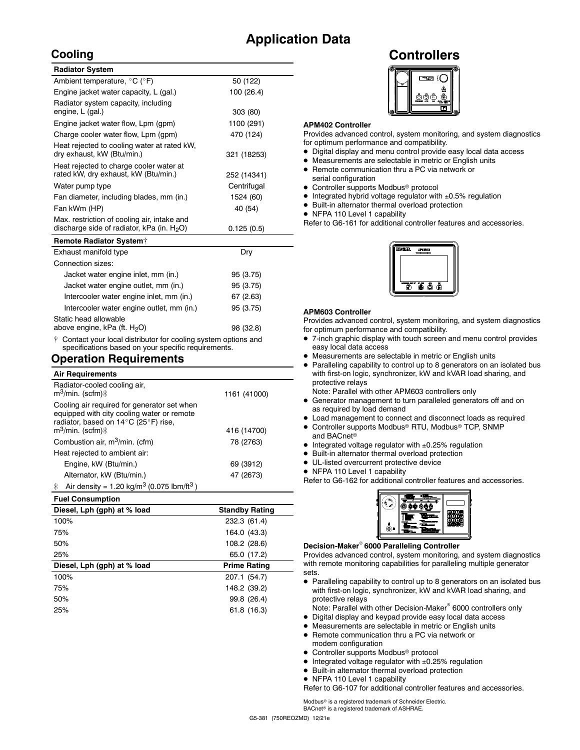## **Application Data**

### **Cooling**

| <b>Radiator System</b>                                                                       |             |
|----------------------------------------------------------------------------------------------|-------------|
| Ambient temperature, °C (°F)                                                                 | 50 (122)    |
| Engine jacket water capacity, L (gal.)                                                       | 100 (26.4)  |
| Radiator system capacity, including<br>engine, L (gal.)                                      | 303 (80)    |
| Engine jacket water flow, Lpm (gpm)                                                          | 1100 (291)  |
| Charge cooler water flow, Lpm (gpm)                                                          | 470 (124)   |
| Heat rejected to cooling water at rated kW.<br>dry exhaust, kW (Btu/min.)                    | 321 (18253) |
| Heat rejected to charge cooler water at<br>rated kW, dry exhaust, kW (Btu/min.)              | 252 (14341) |
| Water pump type                                                                              | Centrifugal |
| Fan diameter, including blades, mm (in.)                                                     | 1524 (60)   |
| Fan kWm (HP)                                                                                 | 40 (54)     |
| Max. restriction of cooling air, intake and<br>discharge side of radiator, kPa (in. $H_2O$ ) | 0.125(0.5)  |
| Demate Dedictes Customis                                                                     |             |

| Remote Radiator System <sup>+</sup>                                 |           |
|---------------------------------------------------------------------|-----------|
| Exhaust manifold type                                               | Dry       |
| Connection sizes:                                                   |           |
| Jacket water engine inlet, mm (in.)                                 | 95 (3.75) |
| Jacket water engine outlet, mm (in.)                                | 95 (3.75) |
| Intercooler water engine inlet, mm (in.)                            | 67(2.63)  |
| Intercooler water engine outlet, mm (in.)                           | 95 (3.75) |
| Static head allowable                                               |           |
| above engine, kPa (ft. H <sub>2</sub> O)                            | 98 (32.8) |
| $\pm$ Contact your local distributor for cooling system options and |           |

listributor for cooling system options and specifications based on your specific requirements.

### **Operation Requirements**

| <b>Air Requirements</b>                                                                                                                                            |              |
|--------------------------------------------------------------------------------------------------------------------------------------------------------------------|--------------|
| Radiator-cooled cooling air,<br>$m^3$ /min. (scfm) $\ddagger$                                                                                                      | 1161 (41000) |
| Cooling air required for generator set when<br>equipped with city cooling water or remote<br>radiator, based on 14°C (25°F) rise,<br>$m^3$ /min. (scfm) $\ddagger$ | 416 (14700)  |
|                                                                                                                                                                    |              |
| Combustion air, m <sup>3</sup> /min. (cfm)                                                                                                                         | 78 (2763)    |
| Heat rejected to ambient air:                                                                                                                                      |              |
| Engine, kW (Btu/min.)                                                                                                                                              | 69 (3912)    |
| Alternator, kW (Btu/min.)                                                                                                                                          | 47 (2673)    |
| Air density = $1.20 \text{ kg/m}^3$ (0.075 lbm/ft <sup>3</sup> )<br>$\ddagger$                                                                                     |              |

| <b>Fuel Consumption</b>     |                       |
|-----------------------------|-----------------------|
| Diesel, Lph (gph) at % load | <b>Standby Rating</b> |
| 100%                        | 232.3 (61.4)          |
| 75%                         | 164.0 (43.3)          |
| 50%                         | 108.2 (28.6)          |
| 25%                         | 65.0 (17.2)           |
| Diesel, Lph (gph) at % load | <b>Prime Rating</b>   |
| 100%                        | 207.1 (54.7)          |
| 75%                         | 148.2 (39.2)          |
| 50%                         | 99.8 (26.4)           |
| 25%                         | 61.8 (16.3)           |
|                             |                       |

### **Controllers**



### **APM402 Controller**

Provides advanced control, system monitoring, and system diagnostics for optimum performance and compatibility.

- Digital display and menu control provide easy local data access
- Measurements are selectable in metric or English units
- Remote communication thru a PC via network or serial configuration
- Controller supports Modbus<sup>®</sup> protocol
- Integrated hybrid voltage regulator with ±0.5% regulation
- Built-in alternator thermal overload protection
- NFPA 110 Level 1 capability

Refer to G6-161 for additional controller features and accessories.



### **APM603 Controller**

Provides advanced control, system monitoring, and system diagnostics for optimum performance and compatibility.

- 7-inch graphic display with touch screen and menu control provides easy local data access
- Measurements are selectable in metric or English units
- Paralleling capability to control up to 8 generators on an isolated bus with first-on logic, synchronizer, kW and kVAR load sharing, and protective relays

Note: Parallel with other APM603 controllers only

- Generator management to turn paralleled generators off and on as required by load demand
- Load management to connect and disconnect loads as required
- Controller supports Modbus<sup>®</sup> RTU, Modbus® TCP, SNMP and BACnet<sup>®</sup>
- Integrated voltage regulator with  $\pm 0.25\%$  regulation
- Built-in alternator thermal overload protection
- UL-listed overcurrent protective device
- NFPA 110 Level 1 capability

Refer to G6-162 for additional controller features and accessories.



### **Decision-Maker 6000 Paralleling Controller**

Provides advanced control, system monitoring, and system diagnostics with remote monitoring capabilities for paralleling multiple generator sets.

- Paralleling capability to control up to 8 generators on an isolated bus with first-on logic, synchronizer, kW and kVAR load sharing, and protective relays
- Note: Parallel with other Decision-Maker<sup>®</sup> 6000 controllers only
- Digital display and keypad provide easy local data access
- Measurements are selectable in metric or English units
- Remote communication thru a PC via network or modem configuration
- Controller supports Modbus<sup>®</sup> protocol
- Integrated voltage regulator with ±0.25% regulation
- Built-in alternator thermal overload protection
- NFPA 110 Level 1 capability

Refer to G6-107 for additional controller features and accessories.

Modbus<sup>®</sup> is a registered trademark of Schneider Electric.  $BAC$ net® is a registered trademark of ASHRAE.